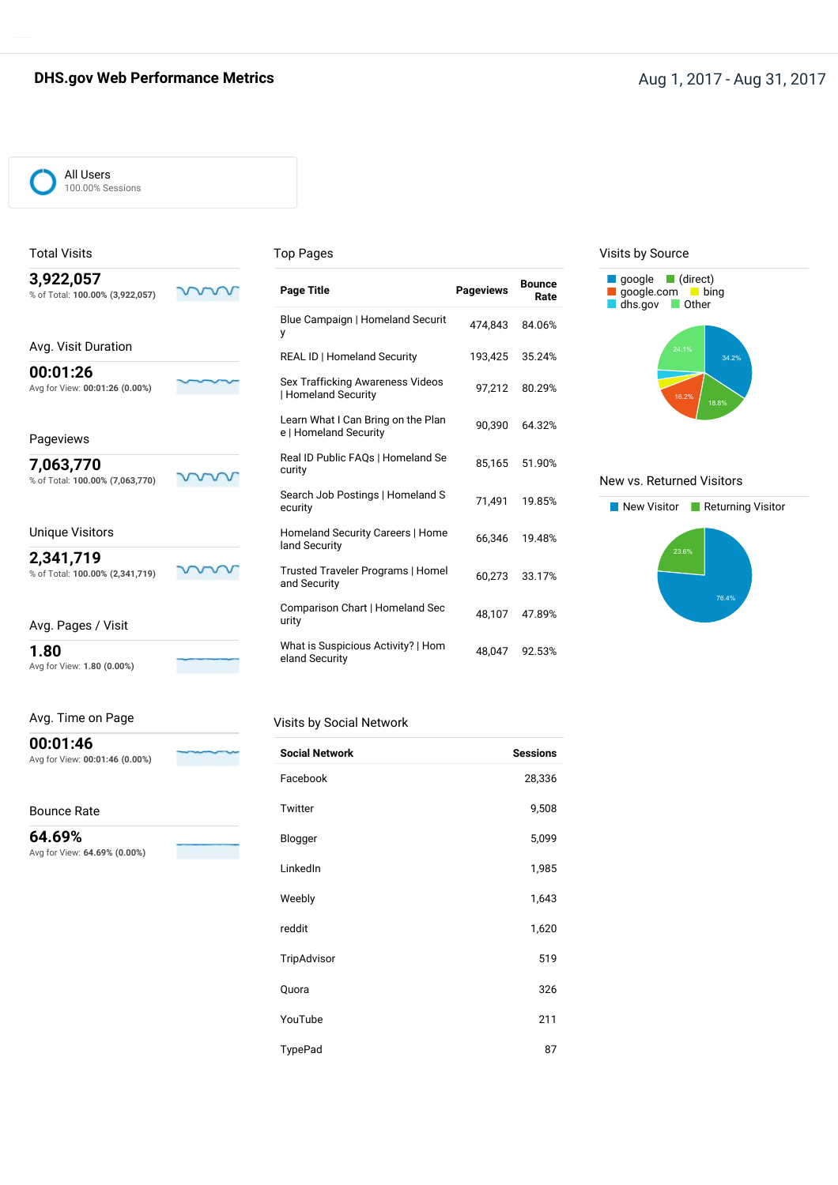### **DHS.gov Web Performance Metrics CONSERVING THE CONSERVING Aug 1, 2017 - Aug 31, 2017**

#### All Users 100.00% Sessions

Total Visits

#### Top Pages

y

**Bounce Page Title Pageviews Rate**

Blue Campaign | Homeland Securit 474,843 84.06%

REAL ID | Homeland Security 193,425 35.24%

Sex Trafficking Awareness Videos 97,212 80.29% | Homeland Security

Learn What I Can Bring on the Plan 90,390 64.32%<br>e | Homeland Security

Real ID Public FAQs | Homeland Se 85,165 51.90% curity

Search Job Postings | Homeland S<br>ecurity 71,491 19.85%

Homeland Security Careers | Home 66,346 19.48%

Trusted Traveler Programs | Homel 60,273 33.17% and Security

Comparison Chart | Homeland Sec 48,107 47.89%

What is Suspicious Activity? | Hom 48,047 92.53% eland Security

| 3,922,057<br>% of Total: 100.00% (3,922,057) |  |
|----------------------------------------------|--|
| Avg. Visit Duration                          |  |
| 00:01:26<br>Avg for View: 00:01:26 (0.00%)   |  |

#### Pageviews

**7,063,770**

% of Total: **100.00% (7,063,770)**

Unique Visitors

**2,341,719**

% of Total: **100.00% (2,341,719)**

Avg. Pages / Visit

**1.80**

Avg for View: **1.80 (0.00%)**

Avg. Time on Page

Avg for View: **00:01:46 (0.00%)**

Avg for View: **64.69% (0.00%)**

**00:01:46**

Bounce Rate **64.69%**

m

w

#### Visits by Social Network

| <b>Social Network</b> | <b>Sessions</b> |
|-----------------------|-----------------|
| Facebook              | 28,336          |
| Twitter               | 9,508           |
| Blogger               | 5,099           |
| LinkedIn              | 1,985           |
| Weebly                | 1,643           |
| reddit                | 1,620           |
| TripAdvisor           | 519             |
| Quora                 | 326             |
| YouTube               | 211             |
| TypePad               | 87              |

#### Visits by Source



#### New vs. Returned Visitors

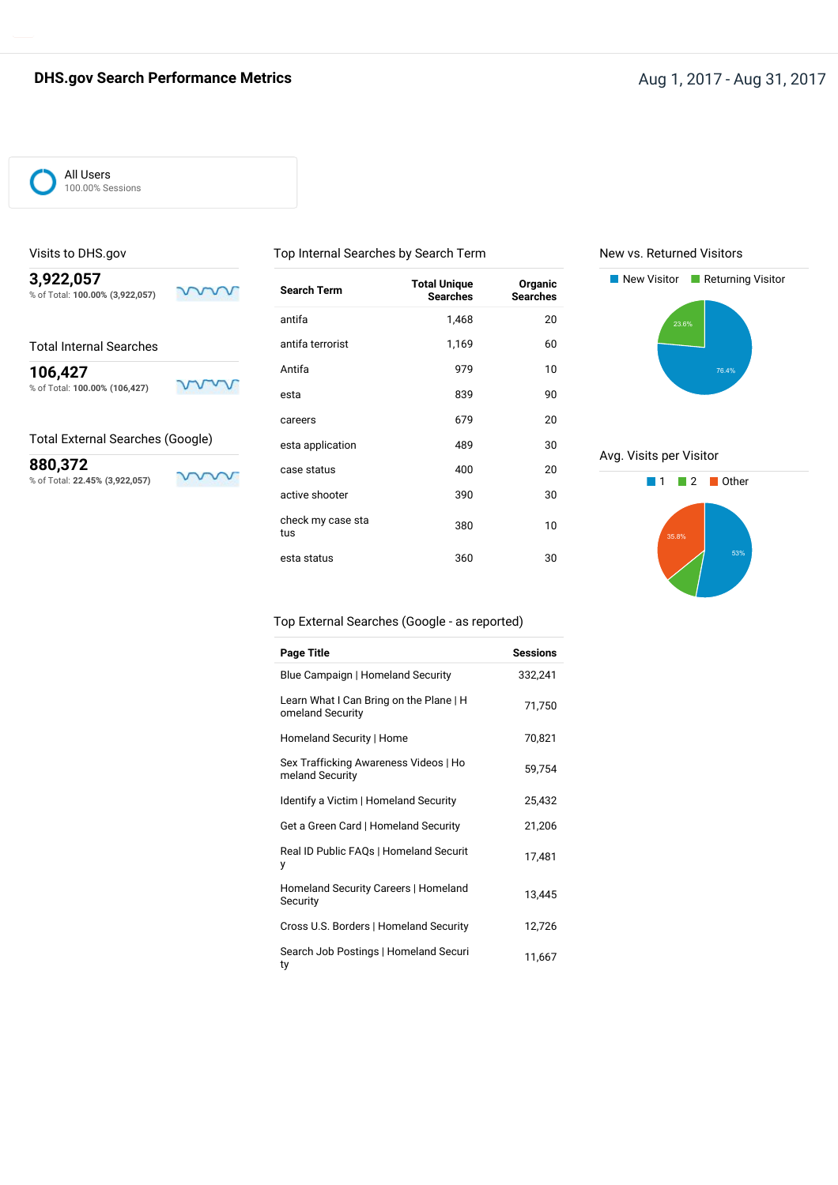## **DHS.gov Search Performance Metrics Aug 1, 2017 - Aug 31, 2017** - Aug 31, 2017

#### All Users 100.00% Sessions

Visits to DHS.gov

#### Top Internal Searches by Search Term

New vs. Returned Visitors



ww

**880,372**

% of Total: **22.45% (3,922,057)**

| <b>Search Term</b>       | <b>Total Unique</b><br><b>Searches</b> | Organic<br><b>Searches</b> |
|--------------------------|----------------------------------------|----------------------------|
| antifa                   | 1,468                                  | 20                         |
| antifa terrorist         | 1,169                                  | 60                         |
| Antifa                   | 979                                    | 10                         |
| esta                     | 839                                    | 90                         |
| careers                  | 679                                    | 20                         |
| esta application         | 489                                    | 30                         |
| case status              | 400                                    | 20                         |
| active shooter           | 390                                    | 30                         |
| check my case sta<br>tus | 380                                    | 10                         |
| esta status              | 360                                    | 30                         |



Avg. Visits per Visitor



#### Top External Searches (Google - as reported)

| Page Title                                                  | <b>Sessions</b> |
|-------------------------------------------------------------|-----------------|
| Blue Campaign   Homeland Security                           | 332,241         |
| Learn What I Can Bring on the Plane   H<br>omeland Security | 71,750          |
| Homeland Security   Home                                    | 70,821          |
| Sex Trafficking Awareness Videos   Ho<br>meland Security    | 59,754          |
| Identify a Victim   Homeland Security                       | 25,432          |
| Get a Green Card   Homeland Security                        | 21,206          |
| Real ID Public FAQs   Homeland Securit<br>у                 | 17,481          |
| Homeland Security Careers   Homeland<br>Security            | 13,445          |
| Cross U.S. Borders   Homeland Security                      | 12,726          |
| Search Job Postings   Homeland Securi<br>ty                 | 11,667          |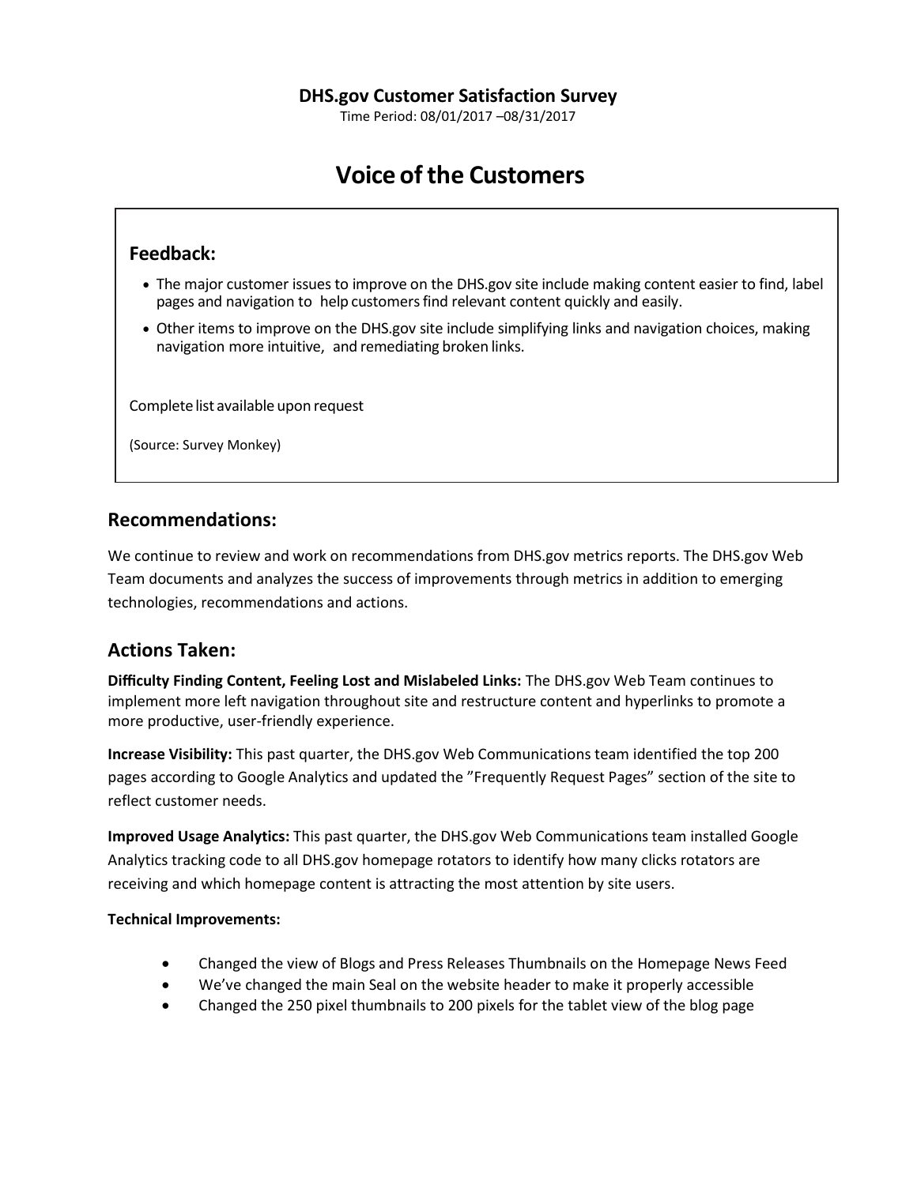Time Period: 08/01/2017 –08/31/2017

# **Voice ofthe Customers**

## **Feedback:**

- The major customer issues to improve on the DHS.gov site include making content easier to find, label pages and navigation to help customersfind relevant content quickly and easily.
- Other items to improve on the DHS.gov site include simplifying links and navigation choices, making navigation more intuitive, and remediating broken links.

Complete list available upon request

(Source: Survey Monkey)

## **Recommendations:**

We continue to review and work on recommendations from DHS.gov metrics reports. The DHS.gov Web Team documents and analyzes the success of improvements through metrics in addition to emerging technologies, recommendations and actions.

## **Actions Taken:**

**Difficulty Finding Content, Feeling Lost and Mislabeled Links:** The DHS.gov Web Team continues to implement more left navigation throughout site and restructure content and hyperlinks to promote a more productive, user-friendly experience.

**Increase Visibility:** This past quarter, the DHS.gov Web Communications team identified the top 200 pages according to Google Analytics and updated the "Frequently Request Pages" section of the site to reflect customer needs.

**Improved Usage Analytics:** This past quarter, the DHS.gov Web Communications team installed Google Analytics tracking code to all DHS.gov homepage rotators to identify how many clicks rotators are receiving and which homepage content is attracting the most attention by site users.

### **Technical Improvements:**

- Changed the view of Blogs and Press Releases Thumbnails on the Homepage News Feed
- We've changed the main Seal on the website header to make it properly accessible
- Changed the 250 pixel thumbnails to 200 pixels for the tablet view of the blog page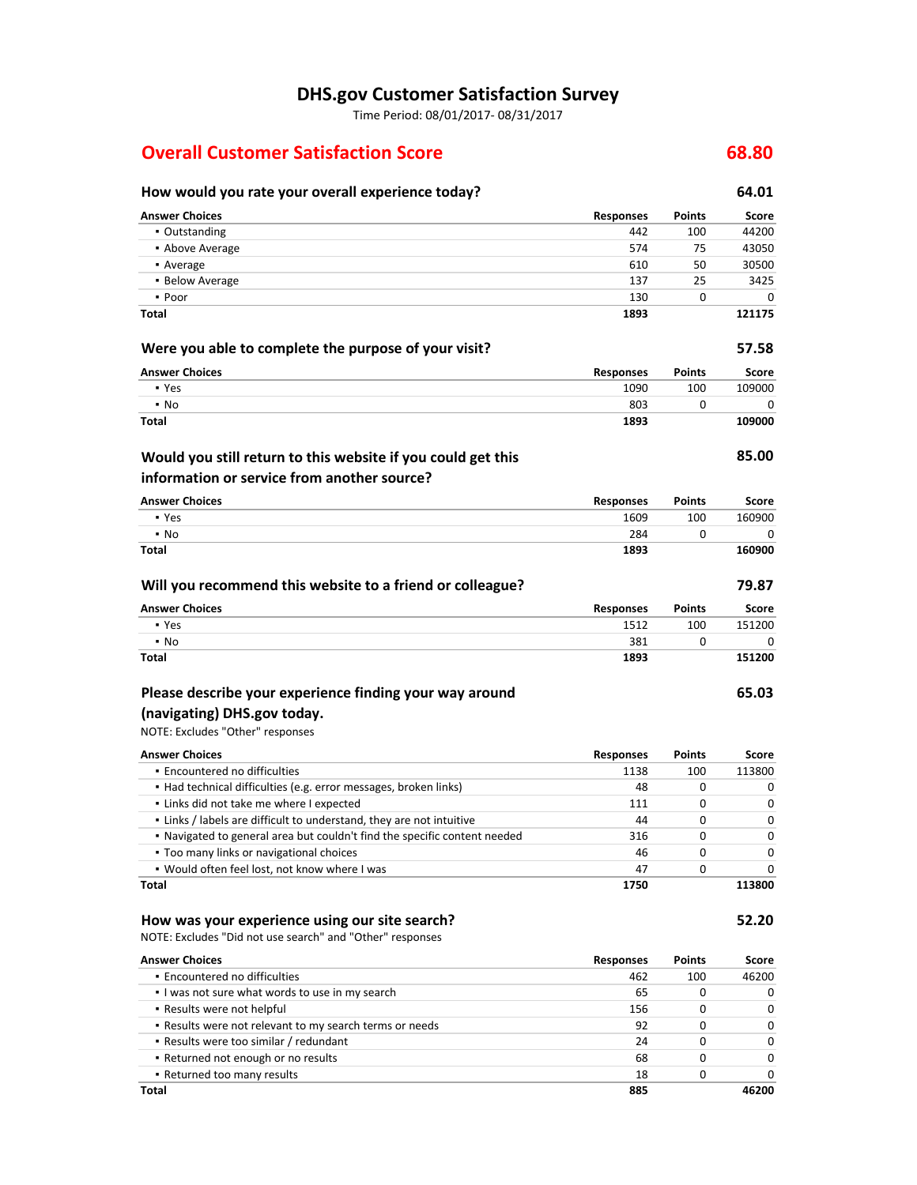## **DHS.gov Customer Satisfaction Survey**

Time Period: 08/01/2017- 08/31/2017

## **Overall Customer Satisfaction Score 68.80**

### **How would you rate your overall experience today? 64.01 Answer Choices Responses Points Score** ▪ Outstanding 442 100 44200 ▪ Above Average 574 75 43050 ▪ Average 610 50 30500 ■ Below Average 137 25 3425 ▪ Poor 130 0 0 **Total 1893 121175 Were you able to complete the purpose of your visit? 57.58 Answer Choices Responses Points Score** ▪ Yes 1090 100 109000  $\bullet$  No  $\bullet$  0 0  $\bullet$  0  $\bullet$  0  $\bullet$  0  $\bullet$  0  $\bullet$  0  $\bullet$  0  $\bullet$  0  $\bullet$  0  $\bullet$  0  $\bullet$  0  $\bullet$  0  $\bullet$  0  $\bullet$  0  $\bullet$  0  $\bullet$  0  $\bullet$  0  $\bullet$  0  $\bullet$  0  $\bullet$  0  $\bullet$  0  $\bullet$  0  $\bullet$  0  $\bullet$  0  $\bullet$  0  $\bullet$  0  $\bullet$  0  $\bullet$  0  $\bullet$  0  $\bullet$  0 **Total 1893 109000 85.00 Answer Choices Responses Points Score** ■ Yes 1609 100 160900 100 160900 100 160900 100 160900 100 160900 100 160900 100 160900 100 160900 100 160900 1 ▪ No 284 0 0 0 **Total 1893 160900 Will you recommend this website to a friend or colleague? 79.87 Answer Choices Responses Points Score** ■ Yes 1512 00 151200 1512 100 151200 1512 100 1512 100 1512 100 1512 100 1512 100 1512 100 1512 100 1512 100 1 ▪ No 381 0 0 **Total 1893 151200 65.03** NOTE: Excludes "Other" responses **Answer Choices Responses Points Score •** Encountered no difficulties 1138 100 113800 ▪ Had technical difficulties (e.g. error messages, broken links) 48 0 0 **Example 1** Links did not take me where I expected and the control of the control of the control of the control of the control of the control of the control of the control of the control of the control of the control of th ▪ Links / labels are difficult to understand, they are not intuitive 44 0 0 ▪ Navigated to general area but couldn't find the specific content needed 316 0 0 **• Too many links or navigational choices** and the set of the set of the set of the set of the set of the set of the set of the set of the set of the set of the set of the set of the set of the set of the set of the set of ▪ Would often feel lost, not know where I was 47 0 0 **Total 1750 113800 How was your experience using our site search? 52.20** NOTE: Excludes "Did not use search" and "Other" responses **Answer Choices Responses Points Score Would you still return to this website if you could get this information or service from another source? Please describe your experience finding your way around (navigating) DHS.gov today.**

▪ Encountered no difficulties 462 100 46200 ▪ I was not sure what words to use in my search 65 0 0 ▪ Results were not helpful 156 0 0 ▪ Results were not relevant to my search terms or needs 92 0 0 ▪ Results were too similar / redundant 24 0 0 ▪ Returned not enough or no results 68 0 0 ▪ Returned too many results 18 0 0 **Total 885 46200**